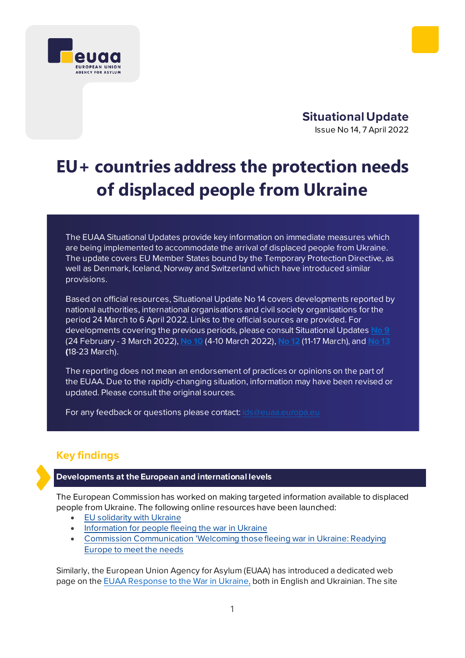



# **EU+ countries address the protection needs of displaced people from Ukraine**

The EUAA Situational Updates provide key information on immediate measures which are being implemented to accommodate the arrival of displaced people from Ukraine. The update covers EU Member States bound by the Temporary Protection Directive, as well as Denmark, Iceland, Norway and Switzerland which have introduced similar provisions.

Based on official resources, Situational Update No 14 covers developments reported by national authorities, international organisations and civil society organisations for the period 24 March to 6 April 2022. Links to the official sources are provided. For developments covering the previous periods, please consul[t Situational Updates](https://euaa.europa.eu/sites/default/files/publications/2022-03/2022_situational_update_9_Ukraine_EN_1.pdf) **No 9** (24 February - 3 March 2022), **[No](https://euaa.europa.eu/publications/rapid-response-eu-countries-address-needs-displaced-people-ukraine-0) 10** (4-10 March 2022), **[No 12](https://euaa.europa.eu/publications/rapid-response-eu-countries-address-needs-displaced-people-ukraine-1)** (11-17 March), and **[No 13](https://euaa.europa.eu/publications/rapid-response-eu-countries-address-needs-displaced-people-ukraine-2) (**18-23 March).

The reporting does not mean an endorsement of practices or opinions on the part of the EUAA. Due to the rapidly-changing situation, information may have been revised or updated. Please consult the original sources.

For any feedback or questions please contact[: ids@euaa.europa.eu](mailto:ids@euaa.europa.eu)

# **Key findings**

# **Developments at the European and international levels**

The European Commission has worked on making targeted information available to displaced people from Ukraine. The following online resources have been launched:

- EU [solidarity](https://ec.europa.eu/info/strategy/priorities-2019-2024/stronger-europe-world/eu-solidarity-ukraine_en) with Ukraine
- [Information for people fleeing the war in Ukraine](https://ec.europa.eu/info/strategy/priorities-2019-2024/stronger-europe-world/eu-solidarity-ukraine/eu-assistance-ukraine/information-people-fleeing-war-ukraine_en)
- [Commission Communication 'Welcoming those fleeing war in Ukraine: Readying](https://ec.europa.eu/commission/presscorner/detail/en/ip_22_1946)  [Europe to meet the needs](https://ec.europa.eu/commission/presscorner/detail/en/ip_22_1946)

Similarly, the European Union Agency for Asylum (EUAA) has introduced a dedicated web page on the [EUAA Response to the War in Ukraine,](https://euaa.europa.eu/euaa-response-war-ukraine-vidpovid-euaa-agentstvo-evropeyskogo-soyuzu-z-pitan-pritulkuna-viynu-v) both in English and Ukrainian. The site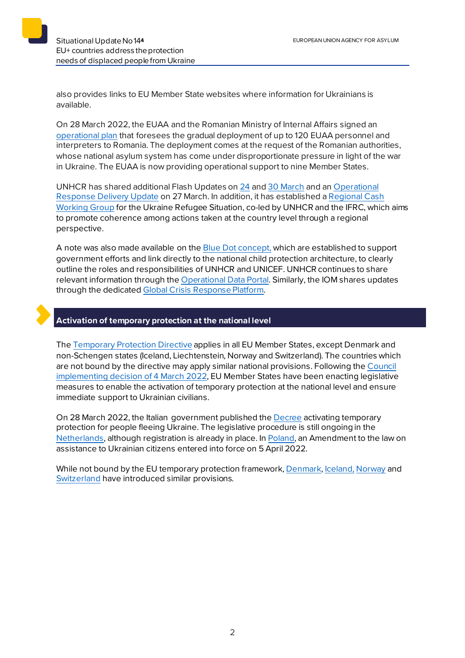also provides links to EU Member State websites where information for Ukrainians is available.

On 28 March 2022, the EUAA and the Romanian Ministry of Internal Affairs signed an [operational plan](https://euaa.europa.eu/sites/default/files/RO_OPERATIONAL_PLAN_2022-clean_0.pdf) that foresees the gradual deployment of up to 120 EUAA personnel and interpreters to Romania. The deployment comes at the request of the Romanian authorities, whose national asylum system has come under disproportionate pressure in light of the war in Ukraine. The EUAA is now providing operational support to nine Member States.

UNHCR has shared additional Flash Updates on [24](https://data2.unhcr.org/en/documents/details/91589) and [30 March](https://data2.unhcr.org/en/documents/details/91719) and a[n Operational](https://data2.unhcr.org/en/documents/details/91728)  [Response Delivery Update](https://data2.unhcr.org/en/documents/details/91728) on 27 March. In addition, it has established [a Regional Cash](https://data2.unhcr.org/en/documents/details/91802)  [Working Group](https://data2.unhcr.org/en/documents/details/91802) for the Ukraine Refugee Situation, co-led by UNHCR and the IFRC, which aims to promote coherence among actions taken at the country level through a regional perspective.

A note was also made available on the [Blue Dot concept,](https://data2.unhcr.org/en/documents/details/91739) which are established to support government efforts and link directly to the national child protection architecture, to clearly outline the roles and responsibilities of UNHCR and UNICEF. UNHCR continues to share relevant information through th[e Operational Data Portal.](https://data2.unhcr.org/en/documents/details/91728) Similarly, the IOM shares updates through the dedicated [Global Crisis Response Platform.](https://crisisresponse.iom.int/response/ukraine-crisis-response-plan-2021-2023)



## **Activation of temporary protection at the national level**

Th[e Temporary Protection Directive](https://eur-lex.europa.eu/legal-content/EN/TXT/?uri=celex%3A32001L0055) applies in all EU Member States, except Denmark and non-Schengen states (Iceland, Liechtenstein, Norway and Switzerland). The countries which are not bound by the directive may apply similar national provisions. Following th[e Council](https://eur-lex.europa.eu/legal-content/EN/TXT/?uri=CELEX%3A32022D0382)  [implementing decision of 4](https://eur-lex.europa.eu/legal-content/EN/TXT/?uri=CELEX%3A32022D0382) March 2022, EU Member States have been enacting legislative measures to enable the activation of temporary protection at the national level and ensure immediate support to Ukrainian civilians.

On 28 March 2022, the Italian government published th[e Decree](https://viedifuga.org/wp-content/uploads/2022/03/Dpcm-28-marzo-2022.pdf) activating temporary protection for people fleeing Ukraine. The legislative procedure is still ongoing in the [Netherlands,](https://ind.nl/en/ukraine/Pages/Staying-in-the-Netherlands-as-a-Ukrainian.aspx) although registration is already in place. I[n Poland,](https://www.gov.pl/web/udsc-en/the-law-on-assistance-to-ukrainian-citizens-in-connection-with-the-armed-conflict-on-the-territory-of-the-country-has-entered-into-force) an Amendment to the law on assistance to Ukrainian citizens entered into force on 5 April 2022.

While not bound by the EU temporary protection framework[, Denmark](https://uim.dk/nyhedsarkiv/2022/marts/et-bredt-folketingsflertal-vedtager-lov-for-fordrevne-ukrainere/)[, Iceland,](https://www.stjornarradid.is/efst-a-baugi/frettir/stok-frett/2022/03/04/Domsmalaradherra-heimilar-timabundna-vernd-vegna-fjoldaflotta/) [Norway](https://www.regjeringen.no/en/aktuelt/temporary-collective-protection-for-ukrainian-refugees/id2903930/) and [Switzerland](https://www.sem.admin.ch/dam/sem/de/data/asyl/faktenblatt-schutzstatus-s.pdf) have introduced similar provisions.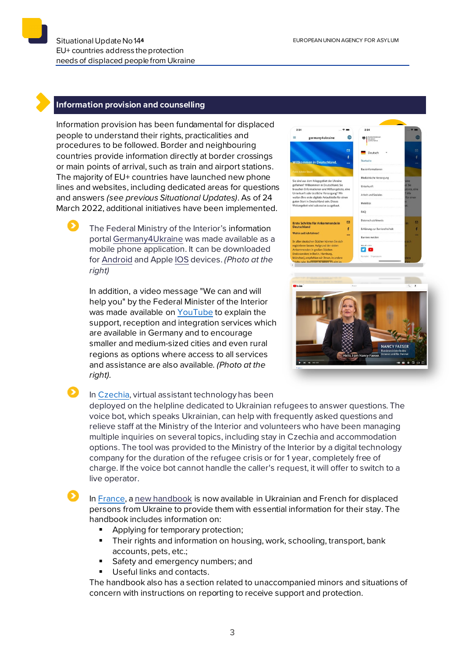#### **Information provision and counselling**

Information provision has been fundamental for displaced people to understand their rights, practicalities and procedures to be followed. Border and neighbouring countries provide information directly at border crossings or main points of arrival, such as train and airport stations. The majority of EU+ countries have launched new phone lines and websites, including dedicated areas for questions and answers *(see previous Situational Updates)*. As of 24 March 2022, additional initiatives have been implemented.

> The Federal Ministry of the Interior's information portal [Germany4Ukraine](https://www.germany4ukraine.de/hilfeportal-ua) was made available as a mobile phone application. It can be downloaded for [Android](https://play.google.com/store/apps/details?id=de.germany4ukraine.app&hl=de&gl=US) and Apple [IOS](https://apps.apple.com/de/app/germany4ukraine/id1614220238) devices. *(Photo at the right)*

In addition, a video message "We can and will help you" by the Federal Minister of the Interior was made available on [YouTube](https://www.youtube.com/watch?v=VC8EuiKRcQU) to explain the support, reception and integration services which are available in Germany and to encourage smaller and medium-sized cities and even rural regions as options where access to all services and assistance are also available*. (Photo at the right).*



#### In [Czechia,](https://www.mvcr.cz/clanek/ukrajincum-nove-s-dotazy-pomaha-virtualni-asistentka-infolinku-ministerstva-vnitra-doplnila-umela-inteligence.aspx) virtual assistant technology has been

deployed on the helpline dedicated to Ukrainian refugees to answer questions. The voice bot, which speaks Ukrainian, can help with frequently asked questions and relieve staff at the Ministry of the Interior and volunteers who have been managing multiple inquiries on several topics, including stay in Czechia and accommodation options. The tool was provided to the Ministry of the Interior by a digital technology company for the duration of the refugee crisis or for 1 year, completely free of charge. If the voice bot cannot handle the caller's request, it will offer to switch to a live operator.

In [France,](https://www.interieur.gouv.fr/actualites/communiques/diffusion-du-livret-daccueil-en-france-pour-refugies-dukraine) a [new handbook](https://www.interieur.gouv.fr/sites/minint/files/medias/documents/2022-03/livret-daccueil-ukraine.pdf) is now available in Ukrainian and French for displaced persons from Ukraine to provide them with essential information for their stay. The handbook includes information on:

- Applying for temporary protection;
- **Their rights and information on housing, work, schooling, transport, bank** accounts, pets, etc.;
- Safety and emergency numbers; and
- **Useful links and contacts.**

The handbook also has a section related to unaccompanied minors and situations of concern with instructions on reporting to receive support and protection.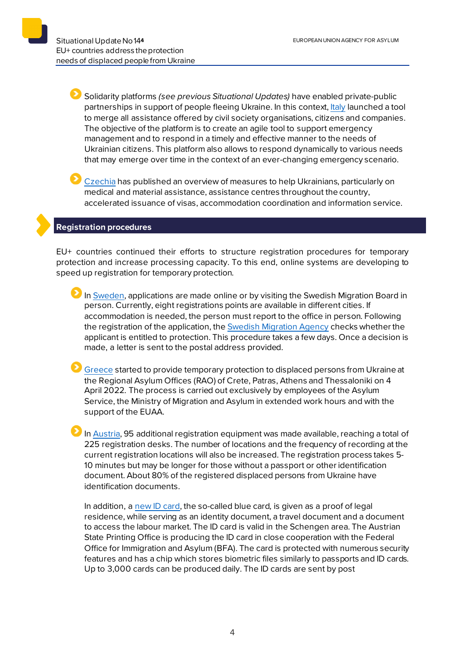Solidarity platforms *(see previous Situational Updates)* have enabled private-public partnerships in support of people fleeing Ukraine. In this context[, Italy](https://emergenze.protezionecivile.gov.it/it/pagina-base/offroaiuto-la-piattaforma-le-offerte-alla-popolazione-ucraina) launched a tool to merge all assistance offered by civil society organisations, citizens and companies. The objective of the platform is to create an agile tool to support emergency management and to respond in a timely and effective manner to the needs of Ukrainian citizens. This platform also allows to respond dynamically to various needs that may emerge over time in the context of an ever-changing emergency scenario.

[Czechia](https://www.mvcr.cz/clanek/mesic-ruske-agrese-mesic-pomoci-ukrajine.aspx) has published an overview of measures to help Ukrainians, particularly on medical and material assistance, assistance centres throughout the country, accelerated issuance of visas, accommodation coordination and information service.

## **Registration procedures**

EU+ countries continued their efforts to structure registration procedures for temporary protection and increase processing capacity. To this end, online systems are developing to speed up registration for temporary protection.

In [Sweden,](https://www.migrationsverket.se/Privatpersoner/Skydd-enligt-massflyktsdirektivet/Ansok-om-skydd-enligt-massflyktsdirektivet.html) applications are made online or by visiting the Swedish Migration Board in person. Currently, eight registrations points are available in different cities. If accommodation is needed, the person must report to the office in person. Following the registration of the application, the **[Swedish Migration Agency](https://www.migrationsverket.se/Privatpersoner/Skydd-enligt-massflyktsdirektivet/Ansok-om-skydd-enligt-massflyktsdirektivet.html) checks whether the** applicant is entitled to protection. This procedure takes a few days. Once a decision is made, a letter is sent to the postal address provided.

[Greece](https://migration.gov.gr/en/xekinise-i-diadikasia-parochis-prosorinis-prostasias-se-ektopisthenta-atoma-apo-tin-oykrania/) started to provide temporary protection to displaced persons from Ukraine at the Regional Asylum Offices (RAO) of Crete, Patras, Athens and Thessaloniki on 4 April 2022. The process is carried out exclusively by employees of the Asylum Service, the Ministry of Migration and Asylum in extended work hours and with the support of the EUAA.

In [Austria,](https://www.bmi.gv.at/news.aspx?id=62394D324257524A377A6F3D) 95 additional registration equipment was made available, reaching a total of 225 registration desks. The number of locations and the frequency of recording at the current registration locations will also be increased. The registration process takes 5- 10 minutes but may be longer for those without a passport or other identification document. About 80% of the registered displaced persons from Ukraine have identification documents.

In addition, a [new ID card,](https://www.bmi.gv.at/news.aspx?id=71756755347055364D35513D) the so-called blue card*,* is given as a proof of legal residence, while serving as an identity document, a travel document and a document to access the labour market. The ID card is valid in the Schengen area. The Austrian State Printing Office is producing the ID card in close cooperation with the Federal Office for Immigration and Asylum (BFA). The card is protected with numerous security features and has a chip which stores biometric files similarly to passports and ID cards. Up to 3,000 cards can be produced daily. The ID cards are sent by post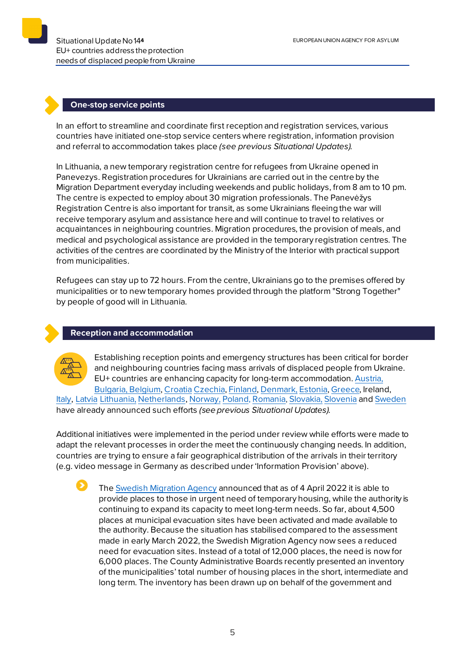#### **One-stop service points**

In an effort to streamline and coordinate first reception and registration services, various countries have initiated one-stop service centers where registration, information provision and referral to accommodation takes place *(see previous Situational Updates).*

In [Lithuania,](https://vrm.lrv.lt/lt/naujienos/dar-vienas-registracijos-centras-karo-pabegeliams-is-ukrainos-panevezyje) a new temporary registration centre for refugees from Ukraine opened in Panevezys. Registration procedures for Ukrainians are carried out in the centre by the Migration Department everyday including weekends and public holidays, from 8 am to 10 pm. The centre is expected to employ about 30 migration professionals. The Panevėžys Registration Centre is also important for transit, as some Ukrainians fleeing the war will receive temporary asylum and assistance here and will continue to travel to relatives or acquaintances in neighbouring countries. Migration procedures, the provision of meals, and medical and psychological assistance are provided in the temporary registration centres. The activities of the centres are coordinated by the Ministry of the Interior with practical support from municipalities.

Refugees can stay up to 72 hours. From the centre, Ukrainians go to the premises offered by municipalities or to new temporary homes provided through the platform "Strong Together" by people of good will in Lithuania.

#### **Reception and accommodation**



Establishing reception points and emergency structures has been critical for border and neighbouring countries facing mass arrivals of displaced people from Ukraine. EU+ countries are enhancing capacity for long-term accommodation[. Austria](https://www.bmi.gv.at/news.aspx?id=7377444259556F4164696B3D), [Bulgaria,](https://ukraine.gov.bg/2022/03/11/information-about-temporary-protection/) [Belgium,](https://www.fedasil.be/fr/actualites/accueil-des-demandeurs-dasile/accueil-de-crise-molenbeek-pour-les-ukrainiens) [Croatia](https://mup.gov.hr/vijesti/u-hrvatsku-stiglo-190-izbjeglica-pripremamo-se-za-masovniji-val/288536) [Czechia,](http://www.suz.cz/informace-pro-nove-prichozi-obcany-ukrajiny/) [Finland](https://migri.fi/en/-/finnish-immigration-service-closely-monitoring-situation-in-ukraine)[, Denmark,](https://us.dk/nyheder/2022/marts/ukraine-faq/) [Estonia](https://www.sotsiaalkindlustusamet.ee/et/uudised/eestisse-joudnud-esimesed-ukraina-sojapogenikud)[, Greece](https://migration.gov.gr/ukraina_ukr/), Ireland, [Italy,](https://www.ansa.it/sito/notizie/mondo/2022/02/27/ucraina-oggi-il-cdm-su-energia-e-aiuti-militari-a-kiev_22f90df1-74c8-4d4f-b245-b74839582e90.html) [Latvia](https://www.rs.gov.lv/lv/informacija-ukrainas-pilsoniem-kuri-izcelo-no-ukrainas-militara-konflikta-del) [Lithuania,](https://vrm.lrv.lt/lt/naujienos/vrm-kaip-vyks-karo-pabegeliu-is-ukrainos-priemimas) Netherlands[, Norway,](https://www.udi.no/nn/aktuelt/ankomster-av-ukrainske-flyktninger-til-norge/) [Poland,](https://www.gov.pl/web/mswia/minister-kaminski-wszystkim-naszym-ukrainskim-braciom-okazemy-solidarnosc-i-wsparcie) [Romania,](https://www.facebook.com/departamenturgente/posts/371184541499380) [Slovakia,](https://www.minv.sk/?tlacove-spravy&sprava=ministerstvo-vnutra-k-aktualnemu-dianiu-na-ukrajine) [Slovenia](https://www.gov.si/novice/2022-03-05-javni-poziv-za-zagotavljanje-nastanitvenih-objektov-za-namen-pomoci-ob-resevanju-krize-v-ukrajini/) and [Sweden](https://www.migrationsverket.se/Om-Migrationsverket/Pressrum/Nyhetsarkiv/Nyhetsarkiv-2022/2022-02-24-Migrationsverket-har-okad-beredskap-efter-utvecklingen-i-Ukraina.html) have already announced such efforts *(see previous Situational Updates).* 

Additional initiatives were implemented in the period under review while efforts were made to adapt the relevant processes in order the meet the continuously changing needs. In addition, countries are trying to ensure a fair geographical distribution of the arrivals in their territory (e.g. video message in Germany as described under 'Information Provision' above).

Th[e Swedish Migration Agency](https://www.migrationsverket.se/English/About-the-Migration-Agency/For-press/News-archive/News-archive-2022/2022-04-04-Reduced-need-for-temporary-housing-for-protection-seekers-from-Ukraine.html) announced that as of 4 April 2022 it is able to provide places to those in urgent need of temporary housing, while the authority is continuing to expand its capacity to meet long-term needs. So far, about 4,500 places at municipal evacuation sites have been activated and made available to the authority. Because the situation has stabilised compared to the assessment made in early March 2022, the Swedish Migration Agency now sees a reduced need for evacuation sites. Instead of a total of 12,000 places, the need is now for 6,000 places. The County Administrative Boards recently presented an inventory of the municipalities' total number of housing places in the short, intermediate and long term. The inventory has been drawn up on behalf of the government and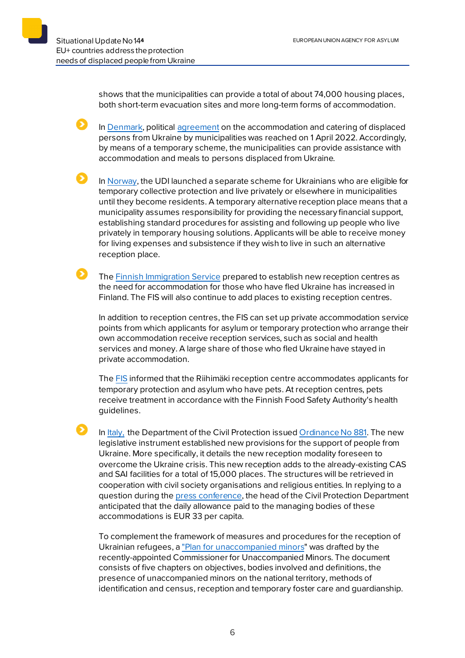shows that the municipalities can provide a total of about 74,000 housing places, both short-term evacuation sites and more long-term forms of accommodation.

In [Denmark,](https://www.uim.dk/nyhedsarkiv/2022/april/bred-politisk-aftale-om-kommunernes-indkvartering-og-forplejning-af-fordrevne-personer-fra-ukraine/) politica[l agreement](https://www.uim.dk/nyhedsarkiv/2022/april/bred-politisk-aftale-om-kommunernes-indkvartering-og-forplejning-af-fordrevne-personer-fra-ukraine/) on the accommodation and catering of displaced persons from Ukraine by municipalities was reached on 1 April 2022. Accordingly, by means of a temporary scheme, the municipalities can provide assistance with accommodation and meals to persons displaced from Ukraine.

In [Norway,](https://www.udi.no/nn/aktuelt/ordningen-om-alternativ-midlertidig-mottaksplass-lansert/) the UDI launched a separate scheme for Ukrainians who are eligible for temporary collective protection and live privately or elsewhere in municipalities until they become residents. A temporary alternative reception place means that a municipality assumes responsibility for providing the necessary financial support, establishing standard procedures for assisting and following up people who live privately in temporary housing solutions. Applicants will be able to receive money for living expenses and subsistence if they wish to live in such an alternative reception place.

 $\mathbf{\Omega}$  . Th[e Finnish Immigration Service](https://migri.fi/-/maahanmuuttovirasto-perustaa-uusia-vastaanottokeskuksia-2) prepared to establish new reception centres as the need for accommodation for those who have fled Ukraine has increased in Finland. The FIS will also continue to add places to existing reception centres.

In addition to reception centres, the FIS can set up private accommodation service points from which applicants for asylum or temporary protection who arrange their own accommodation receive reception services, such as social and health services and money. A large share of those who fled Ukraine have stayed in private accommodation.

Th[e FIS](https://migri.fi/-/lemmikeillekin-loytyy-paikka-vastaanottokeskuksista) informed that the Riihimäki reception centre accommodates applicants for temporary protection and asylum who have pets. At reception centres, pets receive treatment in accordance with the Finnish Food Safety Authority's health guidelines.

In [Italy,](https://www.protezionecivile.gov.it/it/normativa/ocdpc-n-881-del-29-marzo-2022-0) the Department of the Civil Protection issue[d Ordinance No 881.](https://www.protezionecivile.gov.it/it/normativa/ocdpc-n-881-del-29-marzo-2022-0) The new legislative instrument established new provisions for the support of people from Ukraine. More specifically, it details the new reception modality foreseen to overcome the Ukraine crisis. This new reception adds to the already-existing CAS and SAI facilities for a total of 15,000 places. The structures will be retrieved in cooperation with civil society organisations and religious entities. In replying to a question during the [press conference](https://www.protezionecivile.gov.it/it/video/emergenza-ucraina-conferenza-stampa-29-marzo-2022-ore-1730-0), the head of the Civil Protection Department anticipated that the daily allowance paid to the managing bodies of these accommodations is EUR 33 per capita.

To complement the framework of measures and procedures for the reception of Ukrainian refugees, [a "Plan for unaccompanied minors](https://www.asgi.it/wp-content/uploads/2022/03/Pianominoristranierinonaccompagnatidel25marzo2022.pdf)" was drafted by the recently-appointed Commissioner for Unaccompanied Minors. The document consists of five chapters on objectives, bodies involved and definitions, the presence of unaccompanied minors on the national territory, methods of identification and census, reception and temporary foster care and guardianship.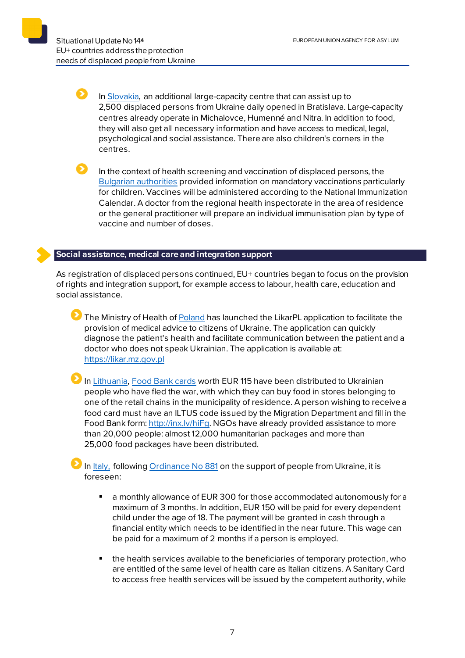In [Slovakia,](https://www.minv.sk/?tlacove-spravy&sprava=na-bottovej-ulici-v-bratislave-vzniklo-dalsie-velkokapacitne-centrum) an additional large-capacity centre that can assist up to 2,500 displaced persons from Ukraine daily opened in Bratislava. Large-capacity centres already operate in Michalovce, Humenné and Nitra. In addition to food, they will also get all necessary information and have access to medical, legal, psychological and social assistance. There are also children's corners in the centres.

Ы In the context of health screening and vaccination of displaced persons, the [Bulgarian authorities](https://ukraine.gov.bg/2022/04/01/vaccination-of-ukrainian-citizens/) provided information on mandatory vaccinations particularly for children. Vaccines will be administered according to the National Immunization Calendar. A doctor from the regional health inspectorate in the area of residence or the general practitioner will prepare an individual immunisation plan by type of vaccine and number of doses.

# **Social assistance, medical care and integration support**

As registration of displaced persons continued, EU+ countries began to focus on the provision of rights and integration support, for example access to labour, health care, education and social assistance.

The Ministry of Health o[f Poland](https://www.gov.pl/web/ua/dziala-juz-aplikacja-ktora-pomoze-porozumiec-sie-pacjentom-z-ukrainy-z-lekarzami-w-polsce2) has launched the LikarPL application to facilitate the provision of medical advice to citizens of Ukraine. The application can quickly diagnose the patient's health and facilitate communication between the patient and a doctor who does not speak Ukrainian. The application is available at: [https://likar.mz.gov.pl](https://likar.mz.gov.pl/)

In [Lithuania,](https://socmin.lrv.lt/lt/naujienos/nuo-karo-veiksmu-pabegusiems-zmonems-maisto-korteles) [Food Bank cards](https://www.maistobankas.lt/ukraina/) worth EUR 115 have been distributed to Ukrainian people who have fled the war, with which they can buy food in stores belonging to one of the retail chains in the municipality of residence. A person wishing to receive a food card must have an ILTUS code issued by the Migration Department and fill in the Food Bank form[: http://inx.lv/hiFg.](http://inx.lv/hiFg) NGOs have already provided assistance to more than 20,000 people: almost 12,000 humanitarian packages and more than 25,000 food packages have been distributed.

In [Italy,](https://www.protezionecivile.gov.it/it/normativa/ocdpc-n-881-del-29-marzo-2022-0) following Ordinance No  $881$  on the support of people from Ukraine, it is foreseen:

- a monthly allowance of EUR 300 for those accommodated autonomously for a maximum of 3 months. In addition, EUR 150 will be paid for every dependent child under the age of 18. The payment will be granted in cash through a financial entity which needs to be identified in the near future. This wage can be paid for a maximum of 2 months if a person is employed.
- the health services available to the beneficiaries of temporary protection, who are entitled of the same level of health care as Italian citizens. A Sanitary Card to access free health services will be issued by the competent authority, while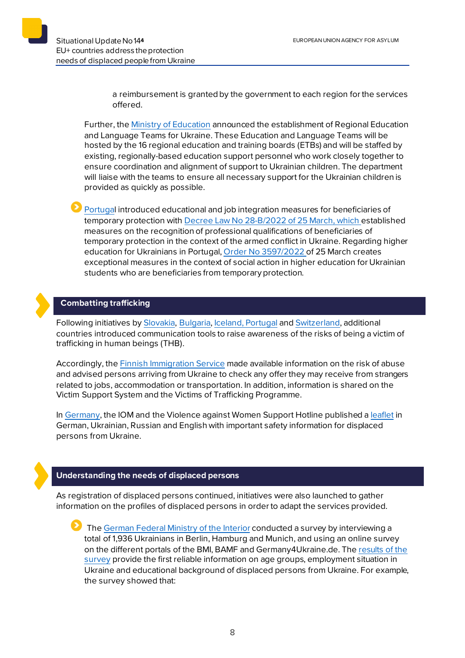a reimbursement is granted by the government to each region for the services offered.

Further, th[e Ministry of Education](https://www.gov.ie/en/press-release/db8d6-minister-foley-announces-establishment-of-regional-education-and-language-teams-for-ukraine/) announced the establishment of Regional Education and Language Teams for Ukraine. These Education and Language Teams will be hosted by the 16 regional education and training boards (ETBs) and will be staffed by existing, regionally-based education support personnel who work closely together to ensure coordination and alignment of support to Ukrainian children. The department will liaise with the teams to ensure all necessary support for the Ukrainian children is provided as quickly as possible.

[Portugal](https://www.acm.gov.pt/-/sos-ucrania) introduced educational and job integration measures for beneficiaries of temporary protection with Decree [Law No 28-B/2022 of 25](https://dre.pt/dre/detalhe/decreto-lei/28-b-2022-181066899) March, which established measures on the recognition of professional qualifications of beneficiaries of temporary protection in the context of the armed conflict in Ukraine. Regarding higher education for Ukrainians in Portugal, [Order No 3597/2022](https://dre.pt/dre/detalhe/doc/3597-2022-181065555) of 25 March creates exceptional measures in the context of social action in higher education for Ukrainian students who are beneficiaries from temporary protection.

# **Combatting trafficking**

Following initiatives by [Slovakia,](https://euaa.europa.eu/sites/default/files/publications/2022-03/2022_situational_update_9_Ukraine_EN_1.pdf) [Bulgaria,](https://ukraine.gov.bg/2022/03/15/human-trafficking-important-information-for-ukrainian-citizens-seeking-protection-in-bulgaria/) [Iceland,](https://www.stjornarradid.is/efst-a-baugi/frettir/stok-frett/2022/03/15/Thekkir-thu-visbendingar-um-mansal/) [Portugal](https://www.portugal.gov.pt/pt/gc22/comunicacao/noticia?i=projeto-para-prevenir-e-monitorizar-as-vitimas-de-exploracao-sexual-foi-hoje-apresentado) an[d Switzerland,](https://www.sem.admin.ch/sem/fr/home/sem/medien/mm.msg-id-87644.html) additional countries introduced communication tools to raise awareness of the risks of being a victim of trafficking in human beings (THB).

Accordingly, th[e Finnish Immigration Service](https://migri.fi/-/ukrainasta-paennut-tarjosiko-joku-sinulle-tyota-majoitusta-tai-kuljetusta-varmista-aina-etta-tarjous-on-totta) made available information on the risk of abuse and advised persons arriving from Ukraine to check any offer they may receive from strangers related to jobs, accommodation or transportation. In addition, information is shared on the Victim Support System and the Victims of Trafficking Programme.

In [Germany,](https://www.bamf.de/SharedDocs/Anlagen/DE/AsylFluechtlingsschutz/flyer-ukraine.html) the IOM and the Violence against Women Support Hotline published a [leaflet](https://www.bamf.de/SharedDocs/Anlagen/DE/AsylFluechtlingsschutz/flyer-ukraine-en.pdf?__blob=publicationFile&v=4) in German, Ukrainian, Russian and English with important safety information for displaced persons from Ukraine.

# **Understanding the needs of displaced persons**

As registration of displaced persons continued, initiatives were also launched to gather information on the profiles of displaced persons in order to adapt the services provided.

Th[e German Federal Ministry of the Interior](https://www.bmi.bund.de/SharedDocs/kurzmeldungen/DE/2022/04/umfrage-ukraine.html) conducted a survey by interviewing a total of 1,936 Ukrainians in Berlin, Hamburg and Munich, and using an online survey on the different portals of the BMI, BAMF and Germany4Ukraine.de. The [results of the](https://www.bmi.bund.de/SharedDocs/downloads/DE/veroeffentlichungen/nachrichten/2022/umfrage-ukraine-fluechtlinge.pdf?__blob=publicationFile&v=2)  [survey](https://www.bmi.bund.de/SharedDocs/downloads/DE/veroeffentlichungen/nachrichten/2022/umfrage-ukraine-fluechtlinge.pdf?__blob=publicationFile&v=2) provide the first reliable information on age groups, employment situation in Ukraine and educational background of displaced persons from Ukraine. For example, the survey showed that: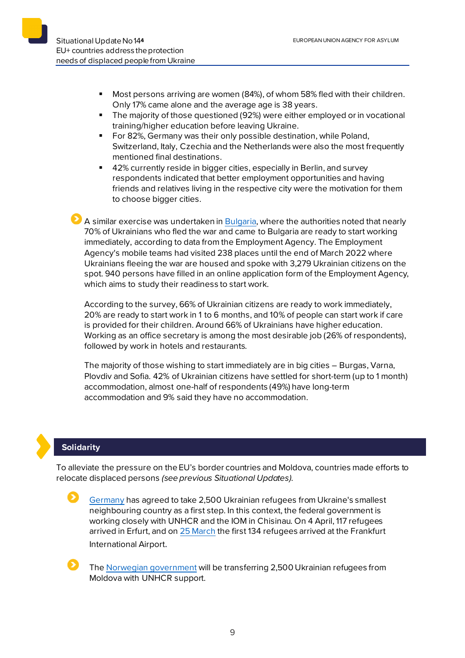- Most persons arriving are women (84%), of whom 58% fled with their children. Only 17% came alone and the average age is 38 years.
- The majority of those questioned (92%) were either employed or in vocational training/higher education before leaving Ukraine.
- For 82%, Germany was their only possible destination, while Poland, Switzerland, Italy, Czechia and the Netherlands were also the most frequently mentioned final destinations.
- 42% currently reside in bigger cities, especially in Berlin, and survey respondents indicated that better employment opportunities and having friends and relatives living in the respective city were the motivation for them to choose bigger cities.

 $\bullet$  A similar exercise was undertaken i[n Bulgaria](https://ukraine.gov.bg/2022/04/02/66-of-ukrainians-in-our-country-are-university-graduates-and-ready-to-work-immediately/), where the authorities noted that nearly 70% of Ukrainians who fled the war and came to Bulgaria are ready to start working immediately, according to data from the Employment Agency. The Employment Agency's mobile teams had visited 238 places until the end of March 2022 where Ukrainians fleeing the war are housed and spoke with 3,279 Ukrainian citizens on the spot. 940 persons have filled in an online application form of the Employment Agency, which aims to study their readiness to start work.

According to the survey, 66% of Ukrainian citizens are ready to work immediately, 20% are ready to start work in 1 to 6 months, and 10% of people can start work if care is provided for their children. Around 66% of Ukrainians have higher education. Working as an office secretary is among the most desirable job (26% of respondents), followed by work in hotels and restaurants.

The majority of those wishing to start immediately are in big cities – Burgas, Varna, Plovdiv and Sofia. 42% of Ukrainian citizens have settled for short-term (up to 1 month) accommodation, almost one-half of respondents (49%) have long-term accommodation and 9% said they have no accommodation.

# **Solidarity**

To alleviate the pressure on the EU's border countries and Moldova, countries made efforts to relocate displaced persons *(see previous Situational Updates)*.

[Germany](https://www.bmi.bund.de/SharedDocs/pressemitteilungen/DE/2022/04/zweiter-flug-luftbruecke-moldau.html) has agreed to take 2,500 Ukrainian refugees from Ukraine's smallest neighbouring country as a first step. In this context, the federal government is working closely with UNHCR and the IOM in Chisinau. On 4 April, 117 refugees arrived in Erfurt, and o[n 25 March](https://www.bmi.bund.de/SharedDocs/pressemitteilungen/DE/2022/03/fluechtlinge-moldau.html) the first 134 refugees arrived at the Frankfurt International Airport.

The [Norwegian government](https://www.regjeringen.no/en/aktuelt/mehl-the-first-refugees-from-moldova-may-arrive-next-week/id2906339/) will be transferring 2,500 Ukrainian refugees from Moldova with UNHCR support.